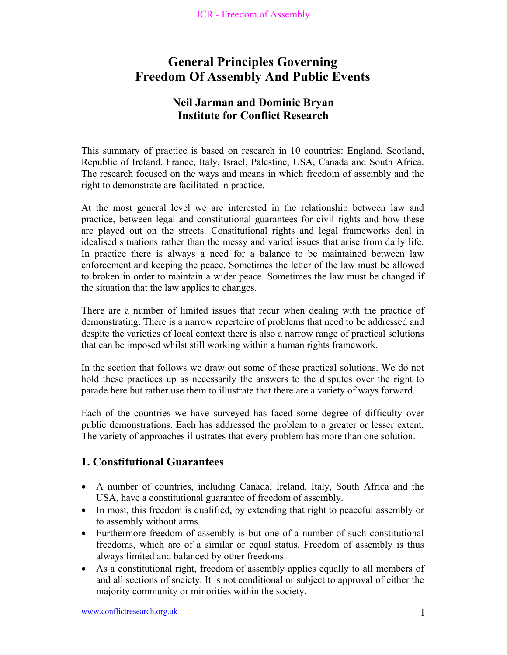# **General Principles Governing Freedom Of Assembly And Public Events**

### **Neil Jarman and Dominic Bryan Institute for Conflict Research**

This summary of practice is based on research in 10 countries: England, Scotland, Republic of Ireland, France, Italy, Israel, Palestine, USA, Canada and South Africa. The research focused on the ways and means in which freedom of assembly and the right to demonstrate are facilitated in practice.

At the most general level we are interested in the relationship between law and practice, between legal and constitutional guarantees for civil rights and how these are played out on the streets. Constitutional rights and legal frameworks deal in idealised situations rather than the messy and varied issues that arise from daily life. In practice there is always a need for a balance to be maintained between law enforcement and keeping the peace. Sometimes the letter of the law must be allowed to broken in order to maintain a wider peace. Sometimes the law must be changed if the situation that the law applies to changes.

There are a number of limited issues that recur when dealing with the practice of demonstrating. There is a narrow repertoire of problems that need to be addressed and despite the varieties of local context there is also a narrow range of practical solutions that can be imposed whilst still working within a human rights framework.

In the section that follows we draw out some of these practical solutions. We do not hold these practices up as necessarily the answers to the disputes over the right to parade here but rather use them to illustrate that there are a variety of ways forward.

Each of the countries we have surveyed has faced some degree of difficulty over public demonstrations. Each has addressed the problem to a greater or lesser extent. The variety of approaches illustrates that every problem has more than one solution.

### **1. Constitutional Guarantees**

- A number of countries, including Canada, Ireland, Italy, South Africa and the USA, have a constitutional guarantee of freedom of assembly.
- In most, this freedom is qualified, by extending that right to peaceful assembly or to assembly without arms.
- Furthermore freedom of assembly is but one of a number of such constitutional freedoms, which are of a similar or equal status. Freedom of assembly is thus always limited and balanced by other freedoms.
- As a constitutional right, freedom of assembly applies equally to all members of and all sections of society. It is not conditional or subject to approval of either the majority community or minorities within the society.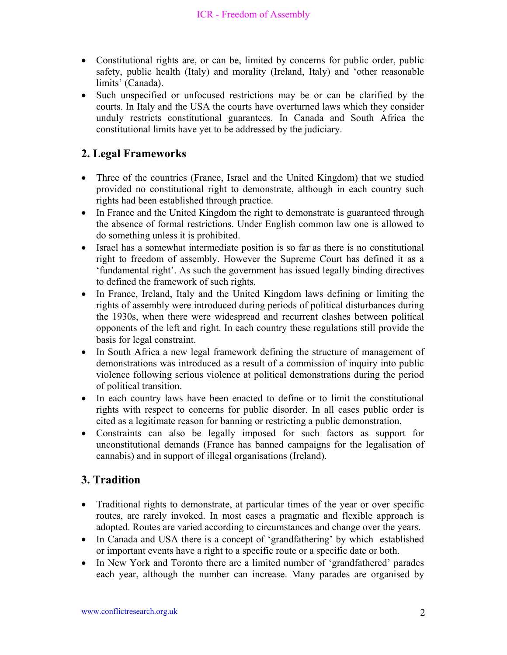- Constitutional rights are, or can be, limited by concerns for public order, public safety, public health (Italy) and morality (Ireland, Italy) and 'other reasonable limits' (Canada).
- Such unspecified or unfocused restrictions may be or can be clarified by the courts. In Italy and the USA the courts have overturned laws which they consider unduly restricts constitutional guarantees. In Canada and South Africa the constitutional limits have yet to be addressed by the judiciary.

### **2. Legal Frameworks**

- Three of the countries (France, Israel and the United Kingdom) that we studied provided no constitutional right to demonstrate, although in each country such rights had been established through practice.
- In France and the United Kingdom the right to demonstrate is guaranteed through the absence of formal restrictions. Under English common law one is allowed to do something unless it is prohibited.
- Israel has a somewhat intermediate position is so far as there is no constitutional right to freedom of assembly. However the Supreme Court has defined it as a 'fundamental right'. As such the government has issued legally binding directives to defined the framework of such rights.
- In France, Ireland, Italy and the United Kingdom laws defining or limiting the rights of assembly were introduced during periods of political disturbances during the 1930s, when there were widespread and recurrent clashes between political opponents of the left and right. In each country these regulations still provide the basis for legal constraint.
- In South Africa a new legal framework defining the structure of management of demonstrations was introduced as a result of a commission of inquiry into public violence following serious violence at political demonstrations during the period of political transition.
- In each country laws have been enacted to define or to limit the constitutional rights with respect to concerns for public disorder. In all cases public order is cited as a legitimate reason for banning or restricting a public demonstration.
- Constraints can also be legally imposed for such factors as support for unconstitutional demands (France has banned campaigns for the legalisation of cannabis) and in support of illegal organisations (Ireland).

### **3. Tradition**

- Traditional rights to demonstrate, at particular times of the year or over specific routes, are rarely invoked. In most cases a pragmatic and flexible approach is adopted. Routes are varied according to circumstances and change over the years.
- In Canada and USA there is a concept of 'grandfathering' by which established or important events have a right to a specific route or a specific date or both.
- In New York and Toronto there are a limited number of 'grandfathered' parades each year, although the number can increase. Many parades are organised by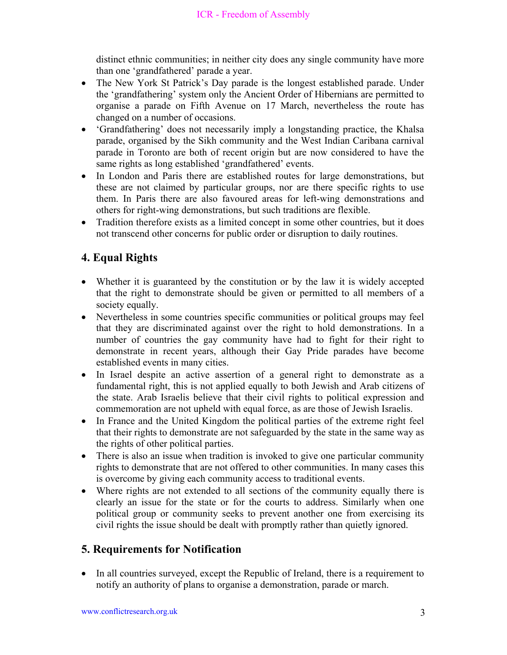distinct ethnic communities; in neither city does any single community have more than one 'grandfathered' parade a year.

- The New York St Patrick's Day parade is the longest established parade. Under the 'grandfathering' system only the Ancient Order of Hibernians are permitted to organise a parade on Fifth Avenue on 17 March, nevertheless the route has changed on a number of occasions.
- 'Grandfathering' does not necessarily imply a longstanding practice, the Khalsa parade, organised by the Sikh community and the West Indian Caribana carnival parade in Toronto are both of recent origin but are now considered to have the same rights as long established 'grandfathered' events.
- In London and Paris there are established routes for large demonstrations, but these are not claimed by particular groups, nor are there specific rights to use them. In Paris there are also favoured areas for left-wing demonstrations and others for right-wing demonstrations, but such traditions are flexible.
- Tradition therefore exists as a limited concept in some other countries, but it does not transcend other concerns for public order or disruption to daily routines.

### **4. Equal Rights**

- Whether it is guaranteed by the constitution or by the law it is widely accepted that the right to demonstrate should be given or permitted to all members of a society equally.
- Nevertheless in some countries specific communities or political groups may feel that they are discriminated against over the right to hold demonstrations. In a number of countries the gay community have had to fight for their right to demonstrate in recent years, although their Gay Pride parades have become established events in many cities.
- In Israel despite an active assertion of a general right to demonstrate as a fundamental right, this is not applied equally to both Jewish and Arab citizens of the state. Arab Israelis believe that their civil rights to political expression and commemoration are not upheld with equal force, as are those of Jewish Israelis.
- In France and the United Kingdom the political parties of the extreme right feel that their rights to demonstrate are not safeguarded by the state in the same way as the rights of other political parties.
- There is also an issue when tradition is invoked to give one particular community rights to demonstrate that are not offered to other communities. In many cases this is overcome by giving each community access to traditional events.
- Where rights are not extended to all sections of the community equally there is clearly an issue for the state or for the courts to address. Similarly when one political group or community seeks to prevent another one from exercising its civil rights the issue should be dealt with promptly rather than quietly ignored.

### **5. Requirements for Notification**

• In all countries surveyed, except the Republic of Ireland, there is a requirement to notify an authority of plans to organise a demonstration, parade or march.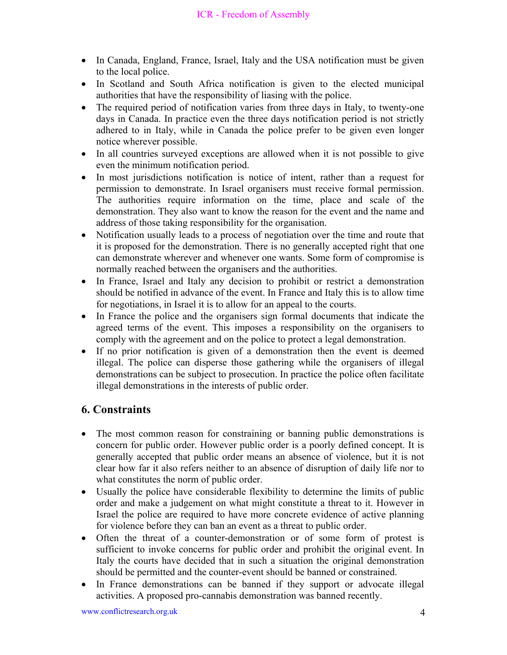- In Canada, England, France, Israel, Italy and the USA notification must be given to the local police.
- In Scotland and South Africa notification is given to the elected municipal authorities that have the responsibility of liasing with the police.
- The required period of notification varies from three days in Italy, to twenty-one days in Canada. In practice even the three days notification period is not strictly adhered to in Italy, while in Canada the police prefer to be given even longer notice wherever possible.
- In all countries surveyed exceptions are allowed when it is not possible to give even the minimum notification period.
- In most jurisdictions notification is notice of intent, rather than a request for permission to demonstrate. In Israel organisers must receive formal permission. The authorities require information on the time, place and scale of the demonstration. They also want to know the reason for the event and the name and address of those taking responsibility for the organisation.
- Notification usually leads to a process of negotiation over the time and route that it is proposed for the demonstration. There is no generally accepted right that one can demonstrate wherever and whenever one wants. Some form of compromise is normally reached between the organisers and the authorities.
- In France, Israel and Italy any decision to prohibit or restrict a demonstration should be notified in advance of the event. In France and Italy this is to allow time for negotiations, in Israel it is to allow for an appeal to the courts.
- In France the police and the organisers sign formal documents that indicate the agreed terms of the event. This imposes a responsibility on the organisers to comply with the agreement and on the police to protect a legal demonstration.
- If no prior notification is given of a demonstration then the event is deemed illegal. The police can disperse those gathering while the organisers of illegal demonstrations can be subject to prosecution. In practice the police often facilitate illegal demonstrations in the interests of public order.

## **6. Constraints**

- The most common reason for constraining or banning public demonstrations is concern for public order. However public order is a poorly defined concept. It is generally accepted that public order means an absence of violence, but it is not clear how far it also refers neither to an absence of disruption of daily life nor to what constitutes the norm of public order.
- Usually the police have considerable flexibility to determine the limits of public order and make a judgement on what might constitute a threat to it. However in Israel the police are required to have more concrete evidence of active planning for violence before they can ban an event as a threat to public order.
- Often the threat of a counter-demonstration or of some form of protest is sufficient to invoke concerns for public order and prohibit the original event. In Italy the courts have decided that in such a situation the original demonstration should be permitted and the counter-event should be banned or constrained.
- In France demonstrations can be banned if they support or advocate illegal activities. A proposed pro-cannabis demonstration was banned recently.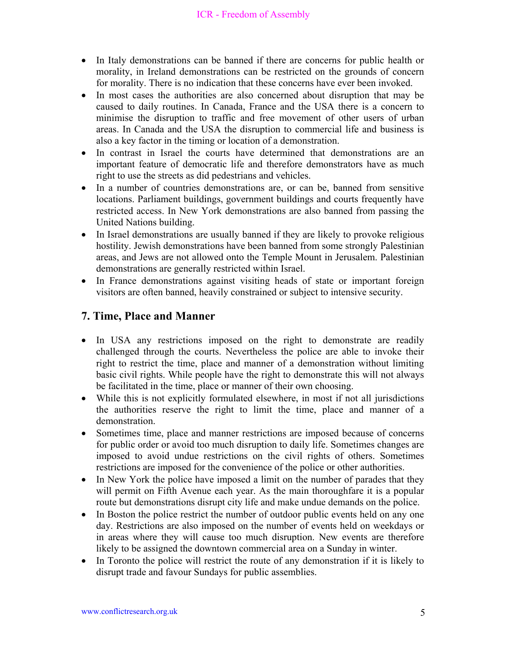#### ICR - Freedom of Assembly

- In Italy demonstrations can be banned if there are concerns for public health or morality, in Ireland demonstrations can be restricted on the grounds of concern for morality. There is no indication that these concerns have ever been invoked.
- In most cases the authorities are also concerned about disruption that may be caused to daily routines. In Canada, France and the USA there is a concern to minimise the disruption to traffic and free movement of other users of urban areas. In Canada and the USA the disruption to commercial life and business is also a key factor in the timing or location of a demonstration.
- In contrast in Israel the courts have determined that demonstrations are an important feature of democratic life and therefore demonstrators have as much right to use the streets as did pedestrians and vehicles.
- In a number of countries demonstrations are, or can be, banned from sensitive locations. Parliament buildings, government buildings and courts frequently have restricted access. In New York demonstrations are also banned from passing the United Nations building.
- In Israel demonstrations are usually banned if they are likely to provoke religious hostility. Jewish demonstrations have been banned from some strongly Palestinian areas, and Jews are not allowed onto the Temple Mount in Jerusalem. Palestinian demonstrations are generally restricted within Israel.
- In France demonstrations against visiting heads of state or important foreign visitors are often banned, heavily constrained or subject to intensive security.

#### **7. Time, Place and Manner**

- In USA any restrictions imposed on the right to demonstrate are readily challenged through the courts. Nevertheless the police are able to invoke their right to restrict the time, place and manner of a demonstration without limiting basic civil rights. While people have the right to demonstrate this will not always be facilitated in the time, place or manner of their own choosing.
- While this is not explicitly formulated elsewhere, in most if not all jurisdictions the authorities reserve the right to limit the time, place and manner of a demonstration.
- Sometimes time, place and manner restrictions are imposed because of concerns for public order or avoid too much disruption to daily life. Sometimes changes are imposed to avoid undue restrictions on the civil rights of others. Sometimes restrictions are imposed for the convenience of the police or other authorities.
- In New York the police have imposed a limit on the number of parades that they will permit on Fifth Avenue each year. As the main thoroughfare it is a popular route but demonstrations disrupt city life and make undue demands on the police.
- In Boston the police restrict the number of outdoor public events held on any one day. Restrictions are also imposed on the number of events held on weekdays or in areas where they will cause too much disruption. New events are therefore likely to be assigned the downtown commercial area on a Sunday in winter.
- In Toronto the police will restrict the route of any demonstration if it is likely to disrupt trade and favour Sundays for public assemblies.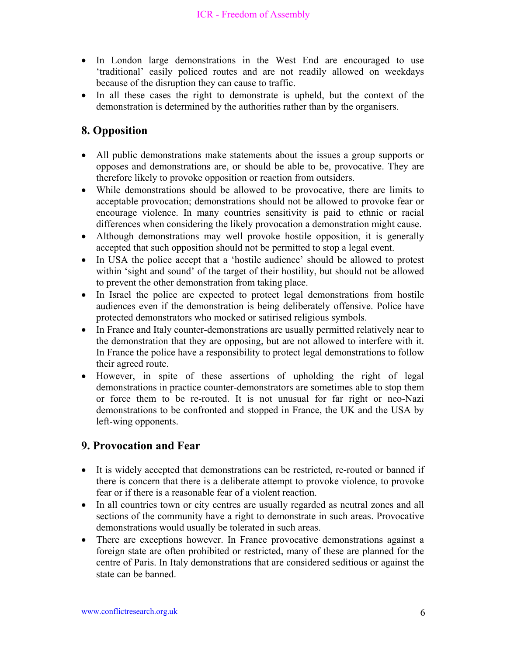- In London large demonstrations in the West End are encouraged to use 'traditional' easily policed routes and are not readily allowed on weekdays because of the disruption they can cause to traffic.
- In all these cases the right to demonstrate is upheld, but the context of the demonstration is determined by the authorities rather than by the organisers.

### **8. Opposition**

- All public demonstrations make statements about the issues a group supports or opposes and demonstrations are, or should be able to be, provocative. They are therefore likely to provoke opposition or reaction from outsiders.
- While demonstrations should be allowed to be provocative, there are limits to acceptable provocation; demonstrations should not be allowed to provoke fear or encourage violence. In many countries sensitivity is paid to ethnic or racial differences when considering the likely provocation a demonstration might cause.
- Although demonstrations may well provoke hostile opposition, it is generally accepted that such opposition should not be permitted to stop a legal event.
- In USA the police accept that a 'hostile audience' should be allowed to protest within 'sight and sound' of the target of their hostility, but should not be allowed to prevent the other demonstration from taking place.
- In Israel the police are expected to protect legal demonstrations from hostile audiences even if the demonstration is being deliberately offensive. Police have protected demonstrators who mocked or satirised religious symbols.
- In France and Italy counter-demonstrations are usually permitted relatively near to the demonstration that they are opposing, but are not allowed to interfere with it. In France the police have a responsibility to protect legal demonstrations to follow their agreed route.
- However, in spite of these assertions of upholding the right of legal demonstrations in practice counter-demonstrators are sometimes able to stop them or force them to be re-routed. It is not unusual for far right or neo-Nazi demonstrations to be confronted and stopped in France, the UK and the USA by left-wing opponents.

### **9. Provocation and Fear**

- It is widely accepted that demonstrations can be restricted, re-routed or banned if there is concern that there is a deliberate attempt to provoke violence, to provoke fear or if there is a reasonable fear of a violent reaction.
- In all countries town or city centres are usually regarded as neutral zones and all sections of the community have a right to demonstrate in such areas. Provocative demonstrations would usually be tolerated in such areas.
- There are exceptions however. In France provocative demonstrations against a foreign state are often prohibited or restricted, many of these are planned for the centre of Paris. In Italy demonstrations that are considered seditious or against the state can be banned.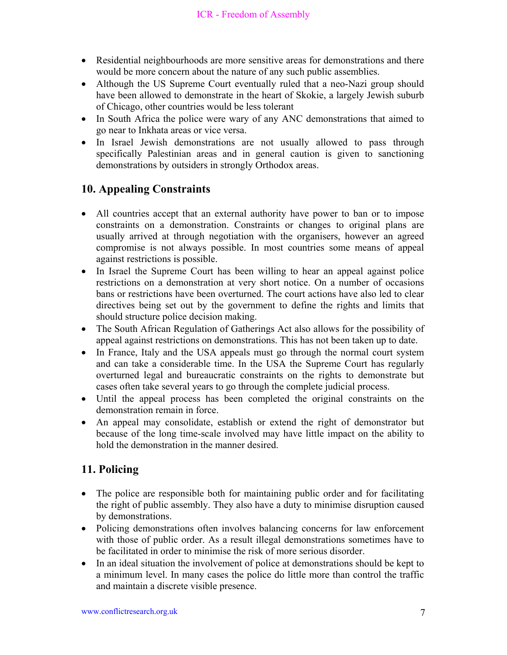- Residential neighbourhoods are more sensitive areas for demonstrations and there would be more concern about the nature of any such public assemblies.
- Although the US Supreme Court eventually ruled that a neo-Nazi group should have been allowed to demonstrate in the heart of Skokie, a largely Jewish suburb of Chicago, other countries would be less tolerant
- In South Africa the police were wary of any ANC demonstrations that aimed to go near to Inkhata areas or vice versa.
- In Israel Jewish demonstrations are not usually allowed to pass through specifically Palestinian areas and in general caution is given to sanctioning demonstrations by outsiders in strongly Orthodox areas.

## **10. Appealing Constraints**

- All countries accept that an external authority have power to ban or to impose constraints on a demonstration. Constraints or changes to original plans are usually arrived at through negotiation with the organisers, however an agreed compromise is not always possible. In most countries some means of appeal against restrictions is possible.
- In Israel the Supreme Court has been willing to hear an appeal against police restrictions on a demonstration at very short notice. On a number of occasions bans or restrictions have been overturned. The court actions have also led to clear directives being set out by the government to define the rights and limits that should structure police decision making.
- The South African Regulation of Gatherings Act also allows for the possibility of appeal against restrictions on demonstrations. This has not been taken up to date.
- In France, Italy and the USA appeals must go through the normal court system and can take a considerable time. In the USA the Supreme Court has regularly overturned legal and bureaucratic constraints on the rights to demonstrate but cases often take several years to go through the complete judicial process.
- Until the appeal process has been completed the original constraints on the demonstration remain in force.
- An appeal may consolidate, establish or extend the right of demonstrator but because of the long time-scale involved may have little impact on the ability to hold the demonstration in the manner desired.

## **11. Policing**

- The police are responsible both for maintaining public order and for facilitating the right of public assembly. They also have a duty to minimise disruption caused by demonstrations.
- Policing demonstrations often involves balancing concerns for law enforcement with those of public order. As a result illegal demonstrations sometimes have to be facilitated in order to minimise the risk of more serious disorder.
- In an ideal situation the involvement of police at demonstrations should be kept to a minimum level. In many cases the police do little more than control the traffic and maintain a discrete visible presence.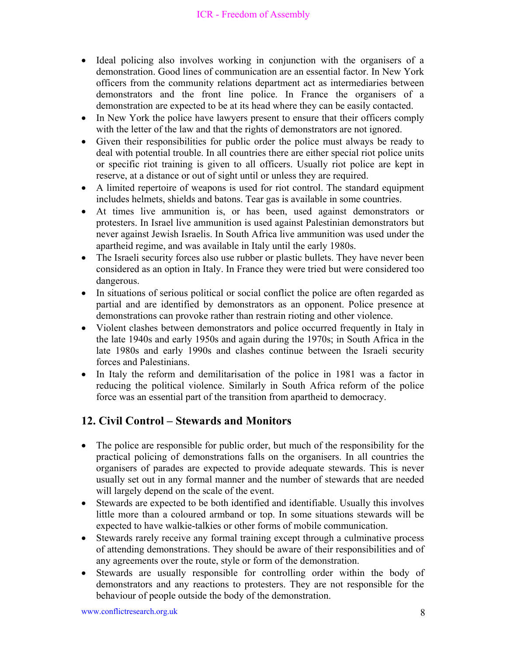#### ICR - Freedom of Assembly

- Ideal policing also involves working in conjunction with the organisers of a demonstration. Good lines of communication are an essential factor. In New York officers from the community relations department act as intermediaries between demonstrators and the front line police. In France the organisers of a demonstration are expected to be at its head where they can be easily contacted.
- In New York the police have lawyers present to ensure that their officers comply with the letter of the law and that the rights of demonstrators are not ignored.
- Given their responsibilities for public order the police must always be ready to deal with potential trouble. In all countries there are either special riot police units or specific riot training is given to all officers. Usually riot police are kept in reserve, at a distance or out of sight until or unless they are required.
- A limited repertoire of weapons is used for riot control. The standard equipment includes helmets, shields and batons. Tear gas is available in some countries.
- At times live ammunition is, or has been, used against demonstrators or protesters. In Israel live ammunition is used against Palestinian demonstrators but never against Jewish Israelis. In South Africa live ammunition was used under the apartheid regime, and was available in Italy until the early 1980s.
- The Israeli security forces also use rubber or plastic bullets. They have never been considered as an option in Italy. In France they were tried but were considered too dangerous.
- In situations of serious political or social conflict the police are often regarded as partial and are identified by demonstrators as an opponent. Police presence at demonstrations can provoke rather than restrain rioting and other violence.
- Violent clashes between demonstrators and police occurred frequently in Italy in the late 1940s and early 1950s and again during the 1970s; in South Africa in the late 1980s and early 1990s and clashes continue between the Israeli security forces and Palestinians.
- In Italy the reform and demilitarisation of the police in 1981 was a factor in reducing the political violence. Similarly in South Africa reform of the police force was an essential part of the transition from apartheid to democracy.

### **12. Civil Control – Stewards and Monitors**

- The police are responsible for public order, but much of the responsibility for the practical policing of demonstrations falls on the organisers. In all countries the organisers of parades are expected to provide adequate stewards. This is never usually set out in any formal manner and the number of stewards that are needed will largely depend on the scale of the event.
- Stewards are expected to be both identified and identifiable. Usually this involves little more than a coloured armband or top. In some situations stewards will be expected to have walkie-talkies or other forms of mobile communication.
- Stewards rarely receive any formal training except through a culminative process of attending demonstrations. They should be aware of their responsibilities and of any agreements over the route, style or form of the demonstration.
- Stewards are usually responsible for controlling order within the body of demonstrators and any reactions to protesters. They are not responsible for the behaviour of people outside the body of the demonstration.